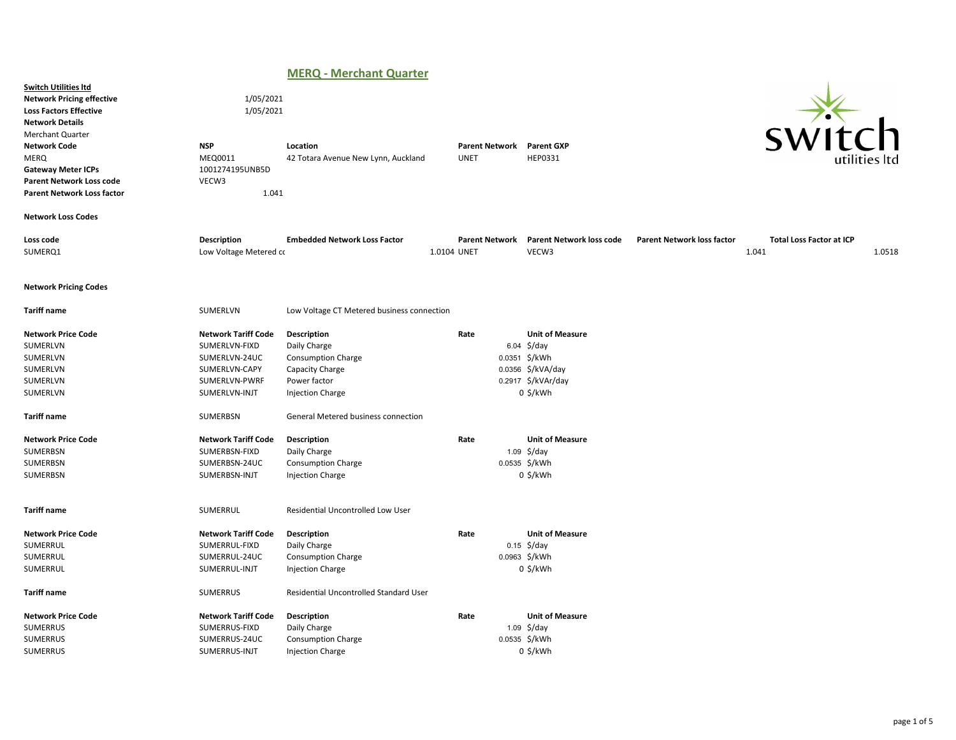## MERQ - Merchant Quarter

|                                                                                                                                                                                                                                                                                           |                                                                                                                 | .<br>$\sim$                                                                                                            |                                      |               |                                                                                                                 |                                   |                                          |        |
|-------------------------------------------------------------------------------------------------------------------------------------------------------------------------------------------------------------------------------------------------------------------------------------------|-----------------------------------------------------------------------------------------------------------------|------------------------------------------------------------------------------------------------------------------------|--------------------------------------|---------------|-----------------------------------------------------------------------------------------------------------------|-----------------------------------|------------------------------------------|--------|
| <b>Switch Utilities Itd</b><br><b>Network Pricing effective</b><br><b>Loss Factors Effective</b><br><b>Network Details</b><br><b>Merchant Quarter</b><br><b>Network Code</b><br>MERQ<br><b>Gateway Meter ICPs</b><br><b>Parent Network Loss code</b><br><b>Parent Network Loss factor</b> | 1/05/2021<br>1/05/2021<br><b>NSP</b><br>MEQ0011<br>1001274195UNB5D<br>VECW3<br>1.041                            | Location<br>42 Totara Avenue New Lynn, Auckland                                                                        | <b>Parent Network</b><br><b>UNET</b> |               | <b>Parent GXP</b><br>HEP0331                                                                                    |                                   |                                          | $-1$   |
| <b>Network Loss Codes</b>                                                                                                                                                                                                                                                                 |                                                                                                                 |                                                                                                                        |                                      |               |                                                                                                                 |                                   |                                          |        |
| Loss code<br>SUMERQ1                                                                                                                                                                                                                                                                      | <b>Description</b><br>Low Voltage Metered co                                                                    | <b>Embedded Network Loss Factor</b>                                                                                    | <b>Parent Network</b><br>1.0104 UNET |               | <b>Parent Network loss code</b><br>VECW3                                                                        | <b>Parent Network loss factor</b> | <b>Total Loss Factor at ICP</b><br>1.041 | 1.0518 |
| <b>Network Pricing Codes</b>                                                                                                                                                                                                                                                              |                                                                                                                 |                                                                                                                        |                                      |               |                                                                                                                 |                                   |                                          |        |
| <b>Tariff name</b>                                                                                                                                                                                                                                                                        | SUMERLVN                                                                                                        | Low Voltage CT Metered business connection                                                                             |                                      |               |                                                                                                                 |                                   |                                          |        |
| <b>Network Price Code</b><br>SUMERLVN<br>SUMERLVN<br>SUMERLVN<br>SUMERLVN<br>SUMERLVN                                                                                                                                                                                                     | <b>Network Tariff Code</b><br>SUMERLVN-FIXD<br>SUMERLVN-24UC<br>SUMERLVN-CAPY<br>SUMERLVN-PWRF<br>SUMERLVN-INJT | Description<br>Daily Charge<br><b>Consumption Charge</b><br>Capacity Charge<br>Power factor<br><b>Injection Charge</b> | Rate                                 | 0.0351 \$/kWh | <b>Unit of Measure</b><br>$6.04 \div \frac{1}{2}$ /day<br>0.0356 \$/kVA/day<br>0.2917 \$/kVAr/day<br>$0$ \$/kWh |                                   |                                          |        |
| <b>Tariff name</b>                                                                                                                                                                                                                                                                        | SUMERBSN                                                                                                        | General Metered business connection                                                                                    |                                      |               |                                                                                                                 |                                   |                                          |        |
| <b>Network Price Code</b><br>SUMERBSN<br>SUMERBSN<br>SUMERBSN                                                                                                                                                                                                                             | <b>Network Tariff Code</b><br>SUMERBSN-FIXD<br>SUMERBSN-24UC<br>SUMERBSN-INJT                                   | Description<br>Daily Charge<br><b>Consumption Charge</b><br><b>Injection Charge</b>                                    | Rate                                 | 0.0535 \$/kWh | <b>Unit of Measure</b><br>$1.09$ \$/day<br>$0$ \$/kWh                                                           |                                   |                                          |        |
| <b>Tariff name</b>                                                                                                                                                                                                                                                                        | SUMERRUL                                                                                                        | Residential Uncontrolled Low User                                                                                      |                                      |               |                                                                                                                 |                                   |                                          |        |
| <b>Network Price Code</b><br>SUMERRUL<br>SUMERRUL<br>SUMERRUL                                                                                                                                                                                                                             | <b>Network Tariff Code</b><br>SUMERRUL-FIXD<br>SUMERRUL-24UC<br>SUMERRUL-INJT                                   | Description<br>Daily Charge<br>Consumption Charge<br>Injection Charge                                                  | Rate                                 | 0.0963 \$/kWh | <b>Unit of Measure</b><br>$0.15 \frac{\xi}{\text{day}}$<br>0 \$/kWh                                             |                                   |                                          |        |
| <b>Tariff name</b>                                                                                                                                                                                                                                                                        | <b>SUMERRUS</b>                                                                                                 | Residential Uncontrolled Standard User                                                                                 |                                      |               |                                                                                                                 |                                   |                                          |        |
| <b>Network Price Code</b><br>SUMERRUS<br><b>SUMERRUS</b><br>SUMERRUS                                                                                                                                                                                                                      | <b>Network Tariff Code</b><br>SUMERRUS-FIXD<br>SUMERRUS-24UC<br>SUMERRUS-INJT                                   | Description<br>Daily Charge<br><b>Consumption Charge</b><br><b>Injection Charge</b>                                    | Rate                                 | 0.0535 \$/kWh | <b>Unit of Measure</b><br>1.09 $\frac{2}{3}$ /day<br>0 \$/kWh                                                   |                                   |                                          |        |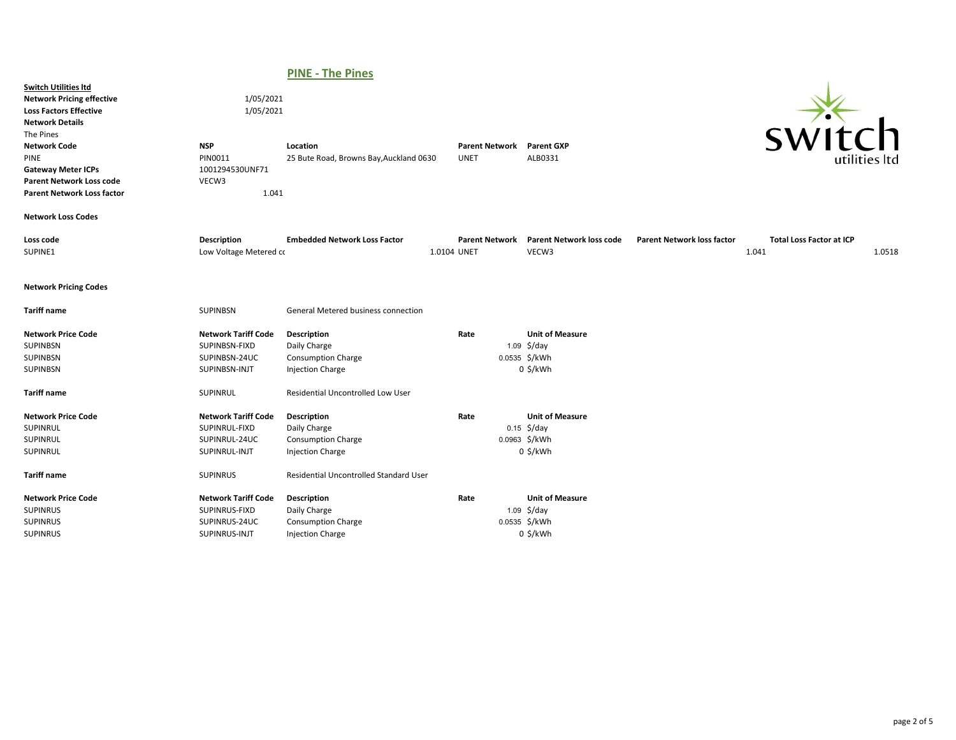## PINE - The Pines

| <b>Switch Utilities Itd</b><br><b>Network Pricing effective</b><br><b>Loss Factors Effective</b><br><b>Network Details</b><br>The Pines<br><b>Network Code</b><br>PINE<br><b>Gateway Meter ICPs</b><br><b>Parent Network Loss code</b><br><b>Parent Network Loss factor</b> | 1/05/2021<br>1/05/2021<br><b>NSP</b><br>PIN0011<br>1001294530UNF71<br>VECW3<br>1.041 | Location<br>25 Bute Road, Browns Bay, Auckland 0630                                 | <b>Parent Network</b><br><b>UNET</b> | <b>Parent GXP</b><br>ALB0331                                                     |                                   | <b>SW11</b>                              | h<br>utilities ltc |
|-----------------------------------------------------------------------------------------------------------------------------------------------------------------------------------------------------------------------------------------------------------------------------|--------------------------------------------------------------------------------------|-------------------------------------------------------------------------------------|--------------------------------------|----------------------------------------------------------------------------------|-----------------------------------|------------------------------------------|--------------------|
| <b>Network Loss Codes</b>                                                                                                                                                                                                                                                   |                                                                                      |                                                                                     |                                      |                                                                                  |                                   |                                          |                    |
| Loss code<br>SUPINE1                                                                                                                                                                                                                                                        | <b>Description</b><br>Low Voltage Metered co                                         | <b>Embedded Network Loss Factor</b>                                                 | <b>Parent Network</b><br>1.0104 UNET | <b>Parent Network loss code</b><br>VECW3                                         | <b>Parent Network loss factor</b> | <b>Total Loss Factor at ICP</b><br>1.041 | 1.0518             |
| <b>Network Pricing Codes</b>                                                                                                                                                                                                                                                |                                                                                      |                                                                                     |                                      |                                                                                  |                                   |                                          |                    |
| <b>Tariff name</b>                                                                                                                                                                                                                                                          | <b>SUPINBSN</b>                                                                      | General Metered business connection                                                 |                                      |                                                                                  |                                   |                                          |                    |
| <b>Network Price Code</b><br><b>SUPINBSN</b><br>SUPINBSN<br>SUPINBSN                                                                                                                                                                                                        | <b>Network Tariff Code</b><br>SUPINBSN-FIXD<br>SUPINBSN-24UC<br>SUPINBSN-INJT        | Description<br>Daily Charge<br><b>Consumption Charge</b><br><b>Injection Charge</b> | Rate                                 | <b>Unit of Measure</b><br>1.09 $\frac{2}{3}$ /day<br>0.0535 \$/kWh<br>$0$ \$/kWh |                                   |                                          |                    |
| <b>Tariff name</b>                                                                                                                                                                                                                                                          | SUPINRUL                                                                             | Residential Uncontrolled Low User                                                   |                                      |                                                                                  |                                   |                                          |                    |
| <b>Network Price Code</b><br>SUPINRUL<br>SUPINRUL<br>SUPINRUL                                                                                                                                                                                                               | <b>Network Tariff Code</b><br>SUPINRUL-FIXD<br>SUPINRUL-24UC<br>SUPINRUL-INJT        | Description<br>Daily Charge<br><b>Consumption Charge</b><br><b>Injection Charge</b> | Rate                                 | <b>Unit of Measure</b><br>$0.15 \frac{\xi}{day}$<br>0.0963 \$/kWh<br>$0$ \$/kWh  |                                   |                                          |                    |
| <b>Tariff name</b>                                                                                                                                                                                                                                                          | <b>SUPINRUS</b>                                                                      | Residential Uncontrolled Standard User                                              |                                      |                                                                                  |                                   |                                          |                    |
| <b>Network Price Code</b><br><b>SUPINRUS</b><br><b>SUPINRUS</b><br><b>SUPINRUS</b>                                                                                                                                                                                          | <b>Network Tariff Code</b><br>SUPINRUS-FIXD<br>SUPINRUS-24UC<br>SUPINRUS-INJT        | Description<br>Daily Charge<br><b>Consumption Charge</b><br><b>Injection Charge</b> | Rate                                 | <b>Unit of Measure</b><br>$1.09$ \$/day<br>0.0535 \$/kWh<br>$0$ \$/kWh           |                                   |                                          |                    |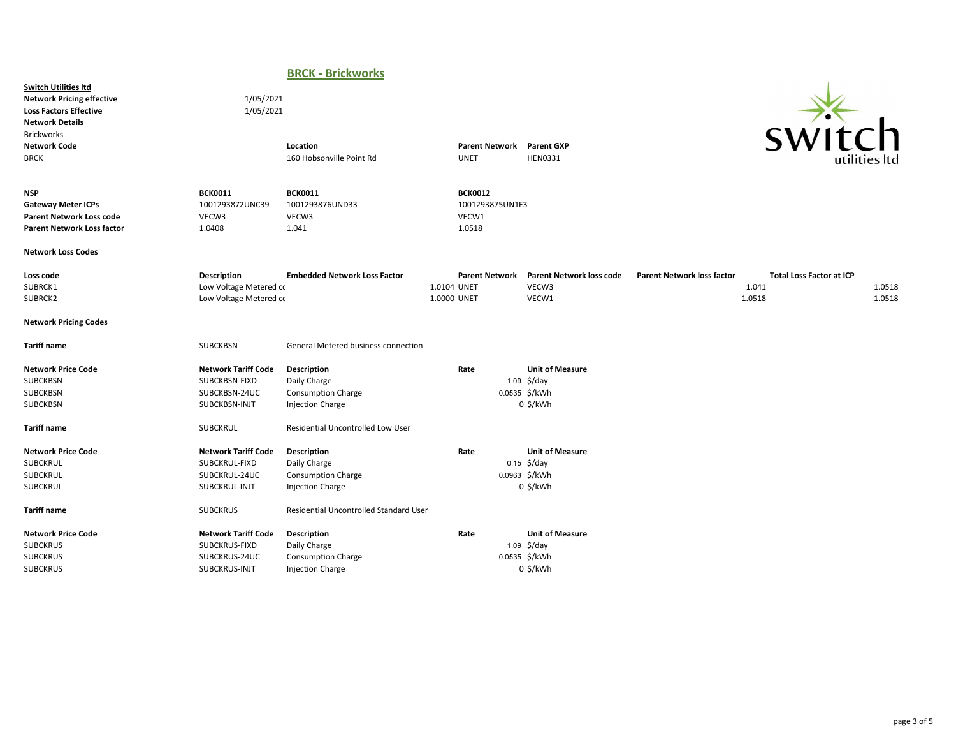## BRCK - Brickworks

Switch Utilities ltd Network Pricing effective 1/05/2021 Loss Factors Effective 1/05/2021 Network Details Brickworks<br>Naturark Code

SUBCKRUS SUBCKRUS-INJT Injection Charge COMPONE CONSUMERTY OF SAMPLE OF SAMPLE SUBCKRUS-INJT



| <b>Network Code</b><br><b>BRCK</b>                                                                              |                                                                               | Location<br>160 Hobsonville Point Rd                                                |                            | <b>Parent Network</b><br><b>UNET</b>                 | <b>Parent GXP</b><br><b>HEN0331</b>                                                    |                                   | <b>SWILLI</b>                                      | utilities Itd    |
|-----------------------------------------------------------------------------------------------------------------|-------------------------------------------------------------------------------|-------------------------------------------------------------------------------------|----------------------------|------------------------------------------------------|----------------------------------------------------------------------------------------|-----------------------------------|----------------------------------------------------|------------------|
| <b>NSP</b><br><b>Gateway Meter ICPs</b><br><b>Parent Network Loss code</b><br><b>Parent Network Loss factor</b> | <b>BCK0011</b><br>1001293872UNC39<br>VECW3<br>1.0408                          | <b>BCK0011</b><br>1001293876UND33<br>VECW3<br>1.041                                 |                            | <b>BCK0012</b><br>1001293875UN1F3<br>VECW1<br>1.0518 |                                                                                        |                                   |                                                    |                  |
| <b>Network Loss Codes</b>                                                                                       |                                                                               |                                                                                     |                            |                                                      |                                                                                        |                                   |                                                    |                  |
| Loss code<br>SUBRCK1<br>SUBRCK2                                                                                 | Description<br>Low Voltage Metered co<br>Low Voltage Metered co               | <b>Embedded Network Loss Factor</b>                                                 | 1.0104 UNET<br>1.0000 UNET | <b>Parent Network</b>                                | <b>Parent Network loss code</b><br>VECW3<br>VECW1                                      | <b>Parent Network loss factor</b> | <b>Total Loss Factor at ICP</b><br>1.041<br>1.0518 | 1.0518<br>1.0518 |
| <b>Network Pricing Codes</b>                                                                                    |                                                                               |                                                                                     |                            |                                                      |                                                                                        |                                   |                                                    |                  |
| <b>Tariff name</b>                                                                                              | <b>SUBCKBSN</b>                                                               | General Metered business connection                                                 |                            |                                                      |                                                                                        |                                   |                                                    |                  |
| <b>Network Price Code</b><br><b>SUBCKBSN</b><br><b>SUBCKBSN</b><br>SUBCKBSN                                     | <b>Network Tariff Code</b><br>SUBCKBSN-FIXD<br>SUBCKBSN-24UC<br>SUBCKBSN-INJT | Description<br>Daily Charge<br><b>Consumption Charge</b><br><b>Injection Charge</b> |                            | Rate                                                 | <b>Unit of Measure</b><br>$1.09$ \$/day<br>0.0535 \$/kWh<br>$0$ \$/kWh                 |                                   |                                                    |                  |
| <b>Tariff name</b>                                                                                              | <b>SUBCKRUL</b>                                                               | Residential Uncontrolled Low User                                                   |                            |                                                      |                                                                                        |                                   |                                                    |                  |
| <b>Network Price Code</b><br>SUBCKRUL<br><b>SUBCKRUL</b><br><b>SUBCKRUL</b>                                     | <b>Network Tariff Code</b><br>SUBCKRUL-FIXD<br>SUBCKRUL-24UC<br>SUBCKRUL-INJT | Description<br>Daily Charge<br><b>Consumption Charge</b><br><b>Injection Charge</b> |                            | Rate                                                 | <b>Unit of Measure</b><br>$0.15 \frac{\xi}{\text{day}}$<br>0.0963 \$/kWh<br>$0$ \$/kWh |                                   |                                                    |                  |
| <b>Tariff name</b>                                                                                              | <b>SUBCKRUS</b>                                                               | Residential Uncontrolled Standard User                                              |                            |                                                      |                                                                                        |                                   |                                                    |                  |
| <b>Network Price Code</b><br><b>SUBCKRUS</b><br><b>SUBCKRUS</b>                                                 | <b>Network Tariff Code</b><br>SUBCKRUS-FIXD<br>SUBCKRUS-24UC                  | Description<br>Daily Charge<br><b>Consumption Charge</b>                            |                            | Rate                                                 | <b>Unit of Measure</b><br>$1.09$ \$/day<br>0.0535 \$/kWh                               |                                   |                                                    |                  |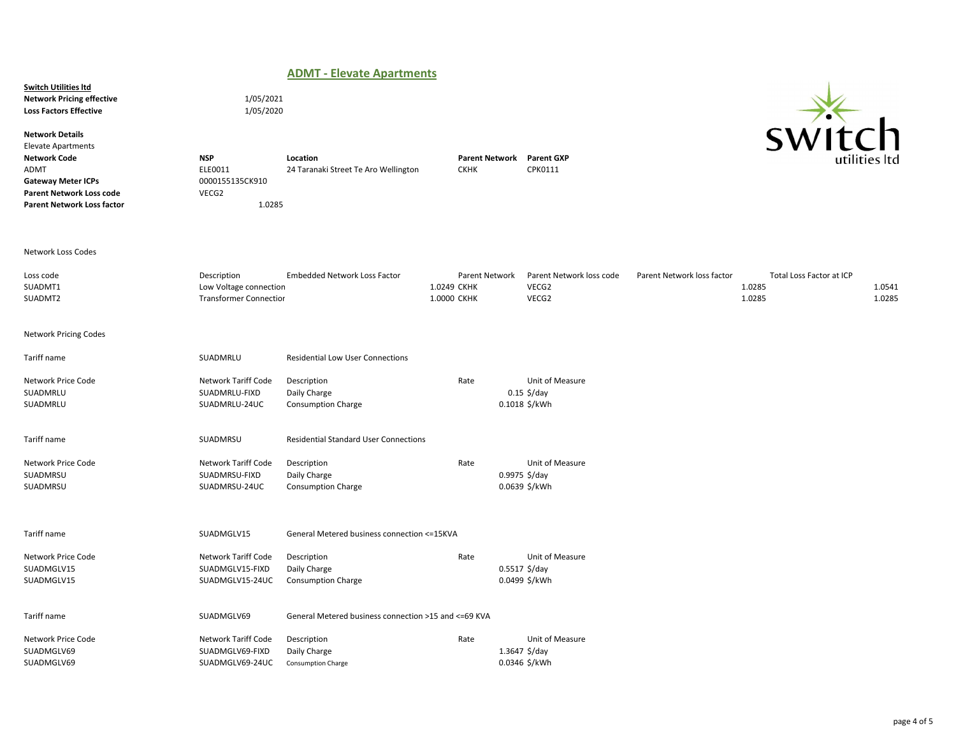|                                                                                                                                                                                         |                                                                        | <b>ADMT - Elevate Apartments</b>                         |                                              |                                                            |                            |                                              |                  |
|-----------------------------------------------------------------------------------------------------------------------------------------------------------------------------------------|------------------------------------------------------------------------|----------------------------------------------------------|----------------------------------------------|------------------------------------------------------------|----------------------------|----------------------------------------------|------------------|
| <b>Switch Utilities Itd</b><br><b>Network Pricing effective</b><br><b>Loss Factors Effective</b>                                                                                        | 1/05/2021<br>1/05/2020                                                 |                                                          |                                              |                                                            |                            |                                              |                  |
| <b>Network Details</b><br><b>Elevate Apartments</b><br><b>Network Code</b><br>ADMT<br><b>Gateway Meter ICPs</b><br><b>Parent Network Loss code</b><br><b>Parent Network Loss factor</b> | <b>NSP</b><br>ELE0011<br>0000155135CK910<br>VECG2<br>1.0285            | Location<br>24 Taranaki Street Te Aro Wellington         | <b>Parent Network</b><br><b>CKHK</b>         | <b>Parent GXP</b><br>CPK0111                               |                            | SW11                                         | `h               |
| <b>Network Loss Codes</b>                                                                                                                                                               |                                                                        |                                                          |                                              |                                                            |                            |                                              |                  |
| Loss code<br>SUADMT1<br>SUADMT2                                                                                                                                                         | Description<br>Low Voltage connection<br><b>Transformer Connectior</b> | <b>Embedded Network Loss Factor</b>                      | Parent Network<br>1.0249 CKHK<br>1.0000 CKHK | Parent Network loss code<br>VECG2<br>VECG2                 | Parent Network loss factor | Total Loss Factor at ICP<br>1.0285<br>1.0285 | 1.0541<br>1.0285 |
| <b>Network Pricing Codes</b>                                                                                                                                                            |                                                                        |                                                          |                                              |                                                            |                            |                                              |                  |
| Tariff name                                                                                                                                                                             | SUADMRLU                                                               | <b>Residential Low User Connections</b>                  |                                              |                                                            |                            |                                              |                  |
| Network Price Code<br>SUADMRLU<br>SUADMRLU                                                                                                                                              | Network Tariff Code<br>SUADMRLU-FIXD<br>SUADMRLU-24UC                  | Description<br>Daily Charge<br><b>Consumption Charge</b> | Rate                                         | Unit of Measure<br>$0.15$ \$/day<br>0.1018 \$/kWh          |                            |                                              |                  |
| Tariff name                                                                                                                                                                             | SUADMRSU                                                               | <b>Residential Standard User Connections</b>             |                                              |                                                            |                            |                                              |                  |
| Network Price Code<br>SUADMRSU<br>SUADMRSU                                                                                                                                              | Network Tariff Code<br>SUADMRSU-FIXD<br>SUADMRSU-24UC                  | Description<br>Daily Charge<br>Consumption Charge        | Rate                                         | Unit of Measure<br>$0.9975$ \$/day<br>0.0639 \$/kWh        |                            |                                              |                  |
| Tariff name                                                                                                                                                                             | SUADMGLV15                                                             | General Metered business connection <= 15KVA             |                                              |                                                            |                            |                                              |                  |
| Network Price Code<br>SUADMGLV15<br>SUADMGLV15                                                                                                                                          | Network Tariff Code<br>SUADMGLV15-FIXD<br>SUADMGLV15-24UC              | Description<br>Daily Charge<br><b>Consumption Charge</b> | Rate                                         | Unit of Measure<br>$0.5517 \frac{5}{day}$<br>0.0499 \$/kWh |                            |                                              |                  |
| Tariff name                                                                                                                                                                             | SUADMGLV69                                                             | General Metered business connection >15 and <= 69 KVA    |                                              |                                                            |                            |                                              |                  |